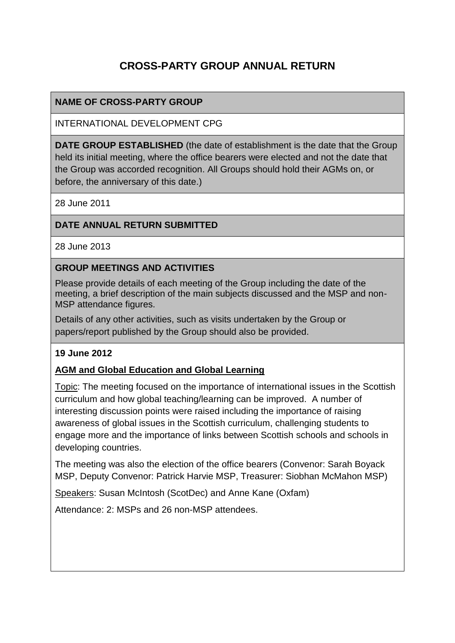# **CROSS-PARTY GROUP ANNUAL RETURN**

### **NAME OF CROSS-PARTY GROUP**

INTERNATIONAL DEVELOPMENT CPG

**DATE GROUP ESTABLISHED** (the date of establishment is the date that the Group held its initial meeting, where the office bearers were elected and not the date that the Group was accorded recognition. All Groups should hold their AGMs on, or before, the anniversary of this date.)

28 June 2011

### **DATE ANNUAL RETURN SUBMITTED**

28 June 2013

#### **GROUP MEETINGS AND ACTIVITIES**

Please provide details of each meeting of the Group including the date of the meeting, a brief description of the main subjects discussed and the MSP and non-MSP attendance figures.

Details of any other activities, such as visits undertaken by the Group or papers/report published by the Group should also be provided.

### **19 June 2012**

### **AGM and Global Education and Global Learning**

Topic: The meeting focused on the importance of international issues in the Scottish curriculum and how global teaching/learning can be improved. A number of interesting discussion points were raised including the importance of raising awareness of global issues in the Scottish curriculum, challenging students to engage more and the importance of links between Scottish schools and schools in developing countries.

The meeting was also the election of the office bearers (Convenor: Sarah Boyack MSP, Deputy Convenor: Patrick Harvie MSP, Treasurer: Siobhan McMahon MSP)

Speakers: Susan McIntosh (ScotDec) and Anne Kane (Oxfam)

Attendance: 2: MSPs and 26 non-MSP attendees.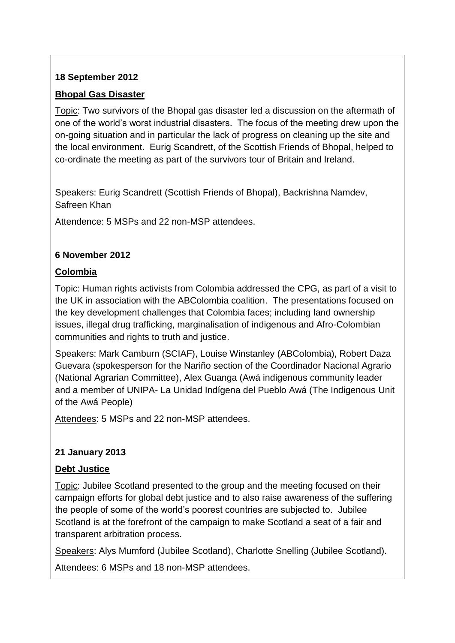### **18 September 2012**

### **Bhopal Gas Disaster**

Topic: Two survivors of the Bhopal gas disaster led a discussion on the aftermath of one of the world's worst industrial disasters. The focus of the meeting drew upon the on-going situation and in particular the lack of progress on cleaning up the site and the local environment. Eurig Scandrett, of the Scottish Friends of Bhopal, helped to co-ordinate the meeting as part of the survivors tour of Britain and Ireland.

Speakers: Eurig Scandrett (Scottish Friends of Bhopal), Backrishna Namdev, Safreen Khan

Attendence: 5 MSPs and 22 non-MSP attendees.

### **6 November 2012**

### **Colombia**

Topic: Human rights activists from Colombia addressed the CPG, as part of a visit to the UK in association with the ABColombia coalition. The presentations focused on the key development challenges that Colombia faces; including land ownership issues, illegal drug trafficking, marginalisation of indigenous and Afro-Colombian communities and rights to truth and justice.

Speakers: Mark Camburn (SCIAF), Louise Winstanley (ABColombia), Robert Daza Guevara (spokesperson for the Nariño section of the Coordinador Nacional Agrario (National Agrarian Committee), Alex Guanga (Awá indigenous community leader and a member of UNIPA- La Unidad Indígena del Pueblo Awá (The Indigenous Unit of the Awá People)

Attendees: 5 MSPs and 22 non-MSP attendees.

## **21 January 2013**

### **Debt Justice**

Topic: Jubilee Scotland presented to the group and the meeting focused on their campaign efforts for global debt justice and to also raise awareness of the suffering the people of some of the world's poorest countries are subjected to. Jubilee Scotland is at the forefront of the campaign to make Scotland a seat of a fair and transparent arbitration process.

Speakers: Alys Mumford (Jubilee Scotland), Charlotte Snelling (Jubilee Scotland).

Attendees: 6 MSPs and 18 non-MSP attendees.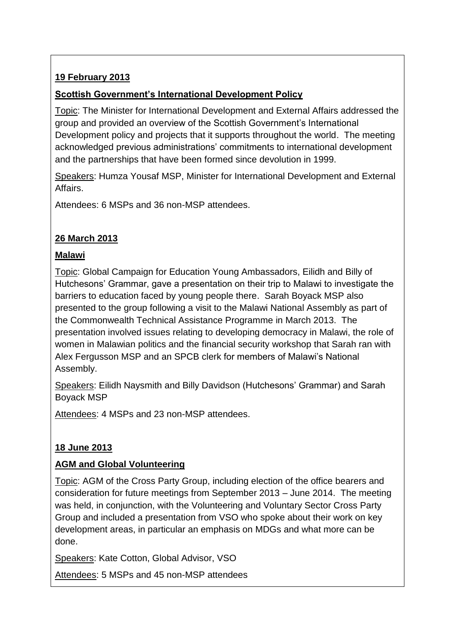## **19 February 2013**

### **Scottish Government's International Development Policy**

Topic: The Minister for International Development and External Affairs addressed the group and provided an overview of the Scottish Government's International Development policy and projects that it supports throughout the world. The meeting acknowledged previous administrations' commitments to international development and the partnerships that have been formed since devolution in 1999.

Speakers: Humza Yousaf MSP, Minister for International Development and External Affairs.

Attendees: 6 MSPs and 36 non-MSP attendees.

### **26 March 2013**

### **Malawi**

Topic: Global Campaign for Education Young Ambassadors, Eilidh and Billy of Hutchesons' Grammar, gave a presentation on their trip to Malawi to investigate the barriers to education faced by young people there. Sarah Boyack MSP also presented to the group following a visit to the Malawi National Assembly as part of the Commonwealth Technical Assistance Programme in March 2013. The presentation involved issues relating to developing democracy in Malawi, the role of women in Malawian politics and the financial security workshop that Sarah ran with Alex Fergusson MSP and an SPCB clerk for members of Malawi's National Assembly.

Speakers: Eilidh Naysmith and Billy Davidson (Hutchesons' Grammar) and Sarah Boyack MSP

Attendees: 4 MSPs and 23 non-MSP attendees.

## **18 June 2013**

### **AGM and Global Volunteering**

Topic: AGM of the Cross Party Group, including election of the office bearers and consideration for future meetings from September 2013 – June 2014. The meeting was held, in conjunction, with the Volunteering and Voluntary Sector Cross Party Group and included a presentation from VSO who spoke about their work on key development areas, in particular an emphasis on MDGs and what more can be done.

Speakers: Kate Cotton, Global Advisor, VSO

Attendees: 5 MSPs and 45 non-MSP attendees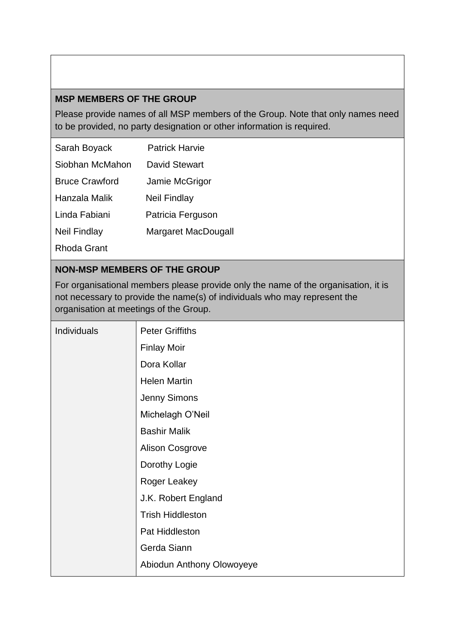### **MSP MEMBERS OF THE GROUP**

Please provide names of all MSP members of the Group. Note that only names need to be provided, no party designation or other information is required.

| Sarah Boyack          | <b>Patrick Harvie</b> |
|-----------------------|-----------------------|
| Siobhan McMahon       | David Stewart         |
| <b>Bruce Crawford</b> | Jamie McGrigor        |
| Hanzala Malik         | <b>Neil Findlay</b>   |
| Linda Fabiani         | Patricia Ferguson     |
| <b>Neil Findlay</b>   | Margaret MacDougall   |
| Rhoda Grant           |                       |

### **NON-MSP MEMBERS OF THE GROUP**

For organisational members please provide only the name of the organisation, it is not necessary to provide the name(s) of individuals who may represent the organisation at meetings of the Group.

| Individuals | <b>Peter Griffiths</b>    |
|-------------|---------------------------|
|             | <b>Finlay Moir</b>        |
|             | Dora Kollar               |
|             | <b>Helen Martin</b>       |
|             | Jenny Simons              |
|             | Michelagh O'Neil          |
|             | <b>Bashir Malik</b>       |
|             | <b>Alison Cosgrove</b>    |
|             | Dorothy Logie             |
|             | Roger Leakey              |
|             | J.K. Robert England       |
|             | <b>Trish Hiddleston</b>   |
|             | Pat Hiddleston            |
|             | Gerda Siann               |
|             | Abiodun Anthony Olowoyeye |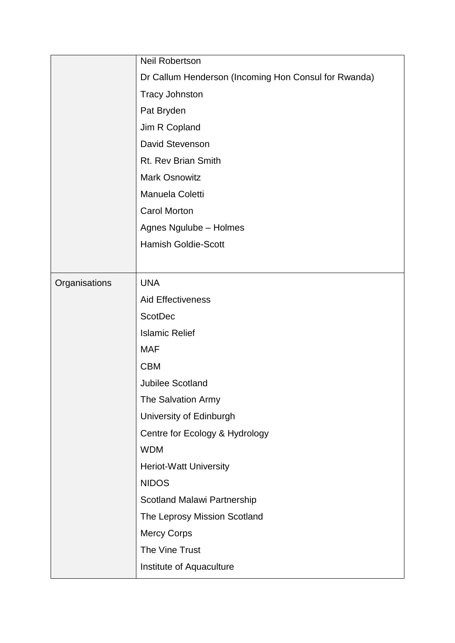|               | Neil Robertson                                       |
|---------------|------------------------------------------------------|
|               | Dr Callum Henderson (Incoming Hon Consul for Rwanda) |
|               | <b>Tracy Johnston</b>                                |
|               | Pat Bryden                                           |
|               | Jim R Copland                                        |
|               | David Stevenson                                      |
|               | Rt. Rev Brian Smith                                  |
|               | <b>Mark Osnowitz</b>                                 |
|               | Manuela Coletti                                      |
|               | <b>Carol Morton</b>                                  |
|               | Agnes Ngulube - Holmes                               |
|               | <b>Hamish Goldie-Scott</b>                           |
|               |                                                      |
| Organisations | <b>UNA</b>                                           |
|               | <b>Aid Effectiveness</b>                             |
|               | <b>ScotDec</b>                                       |
|               | <b>Islamic Relief</b>                                |
|               | <b>MAF</b>                                           |
|               | <b>CBM</b>                                           |
|               | <b>Jubilee Scotland</b>                              |
|               | The Salvation Army                                   |
|               | University of Edinburgh                              |
|               | Centre for Ecology & Hydrology                       |
|               | <b>WDM</b>                                           |
|               | <b>Heriot-Watt University</b>                        |
|               | <b>NIDOS</b>                                         |
|               | Scotland Malawi Partnership                          |
|               | The Leprosy Mission Scotland                         |
|               | <b>Mercy Corps</b>                                   |
|               | The Vine Trust                                       |
|               | Institute of Aquaculture                             |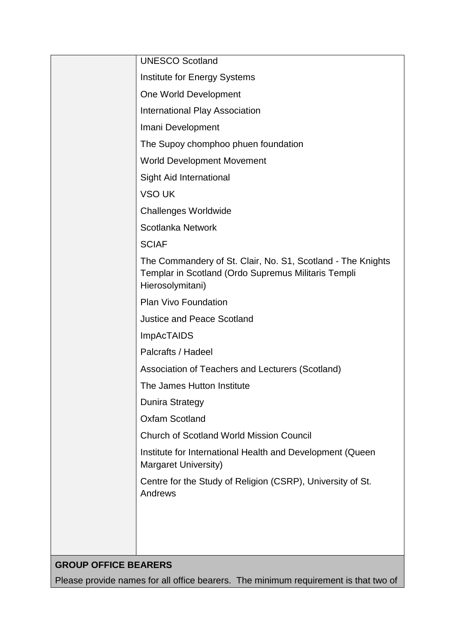| <b>UNESCO Scotland</b>                                                                                                                 |
|----------------------------------------------------------------------------------------------------------------------------------------|
| Institute for Energy Systems                                                                                                           |
| One World Development                                                                                                                  |
| International Play Association                                                                                                         |
| Imani Development                                                                                                                      |
| The Supoy chomphoo phuen foundation                                                                                                    |
| <b>World Development Movement</b>                                                                                                      |
| <b>Sight Aid International</b>                                                                                                         |
| VSO UK                                                                                                                                 |
| <b>Challenges Worldwide</b>                                                                                                            |
| Scotlanka Network                                                                                                                      |
| <b>SCIAF</b>                                                                                                                           |
| The Commandery of St. Clair, No. S1, Scotland - The Knights<br>Templar in Scotland (Ordo Supremus Militaris Templi<br>Hierosolymitani) |
| Plan Vivo Foundation                                                                                                                   |
| <b>Justice and Peace Scotland</b>                                                                                                      |
| <b>ImpAcTAIDS</b>                                                                                                                      |
| Palcrafts / Hadeel                                                                                                                     |
| Association of Teachers and Lecturers (Scotland)                                                                                       |
| The James Hutton Institute                                                                                                             |
| <b>Dunira Strategy</b>                                                                                                                 |
| <b>Oxfam Scotland</b>                                                                                                                  |
| <b>Church of Scotland World Mission Council</b>                                                                                        |
| Institute for International Health and Development (Queen<br>Margaret University)                                                      |
| Centre for the Study of Religion (CSRP), University of St.<br>Andrews                                                                  |
|                                                                                                                                        |
|                                                                                                                                        |
|                                                                                                                                        |

# **GROUP OFFICE BEARERS**

Please provide names for all office bearers. The minimum requirement is that two of